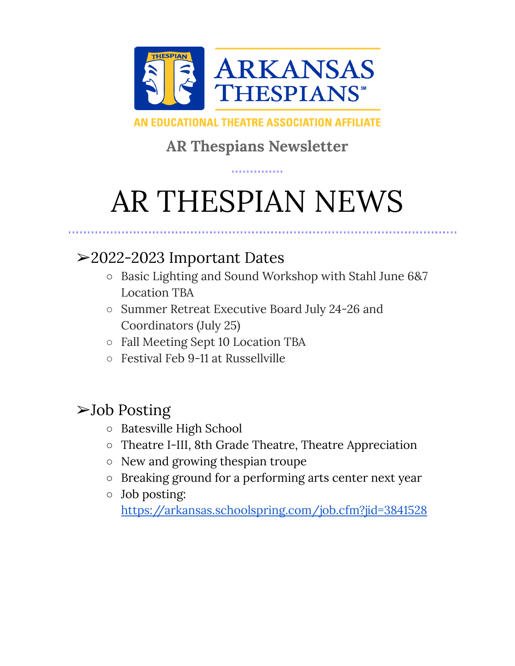

#### AN EDUCATIONAL THEATRE ASSOCIATION AFFILIATE

### **AR Thespians Newsletter**

# AR THESPIAN NEWS

#### ➢2022-2023 Important Dates

- Basic Lighting and Sound Workshop with Stahl June 6&7 Location TBA
- Summer Retreat Executive Board July 24-26 and Coordinators (July 25)
- Fall Meeting Sept 10 Location TBA
- Festival Feb 9-11 at Russellville

#### ➢Job Posting

- Batesville High School
- Theatre I-III, 8th Grade Theatre, Theatre Appreciation
- New and growing thespian troupe
- Breaking ground for a performing arts center next year
- Job posting: <https://arkansas.schoolspring.com/job.cfm?jid=3841528>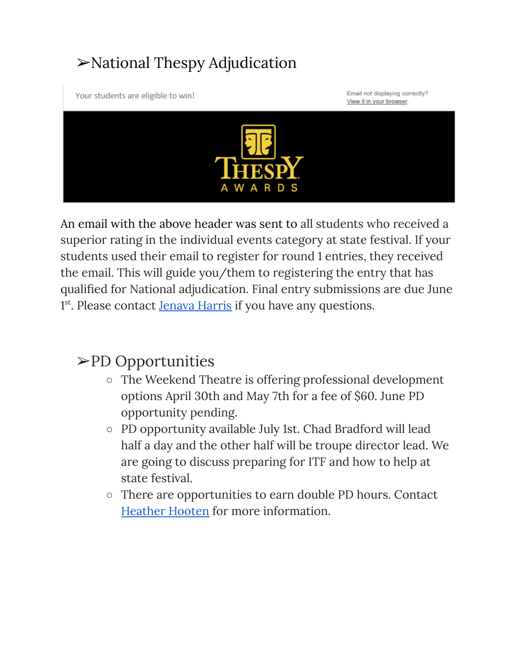## ➢National Thespy Adjudication

Your students are eligible to win!

Email not displaying correctly? View it in your browser.



An email with the above header was sent to all students who received a superior rating in the individual events category at state festival. If your students used their email to register for round 1 entries, they received the email. This will guide you/them to registering the entry that has qualified for National adjudication. Final entry submissions are due June <sup>1st</sup>. Please contact **[Jenava](mailto:jenava.harris@csdar.org) Harris** if you have any questions.

#### ➢PD Opportunities

- The Weekend Theatre is offering professional development options April 30th and May 7th for a fee of \$60. June PD opportunity pending.
- PD opportunity available July 1st. Chad Bradford will lead half a day and the other half will be troupe director lead. We are going to discuss preparing for ITF and how to help at state festival.
- There are opportunities to earn double PD hours. Contact [Heather](mailto:hootenh@sccsd.k12.ar.us) Hooten for more information.